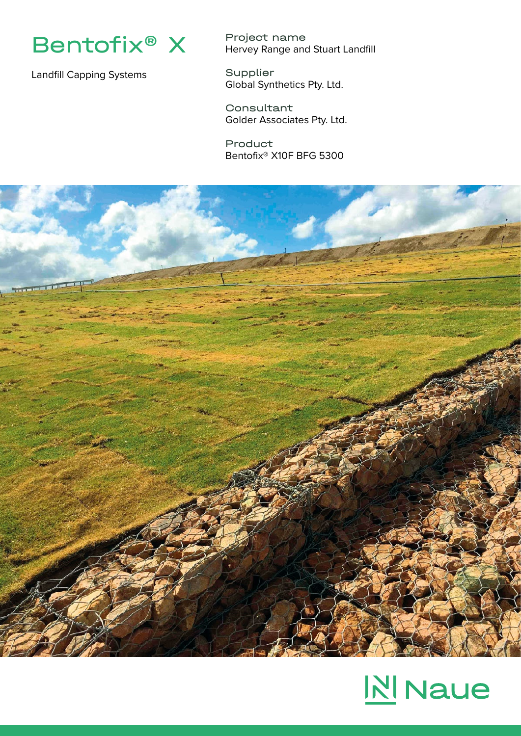

Landfill Capping Systems

Project name Hervey Range and Stuart Landfill

Supplier Global Synthetics Pty. Ltd.

Consultant Golder Associates Pty. Ltd.

Product Bentofix® X10F BFG 5300



## **NI** Naue